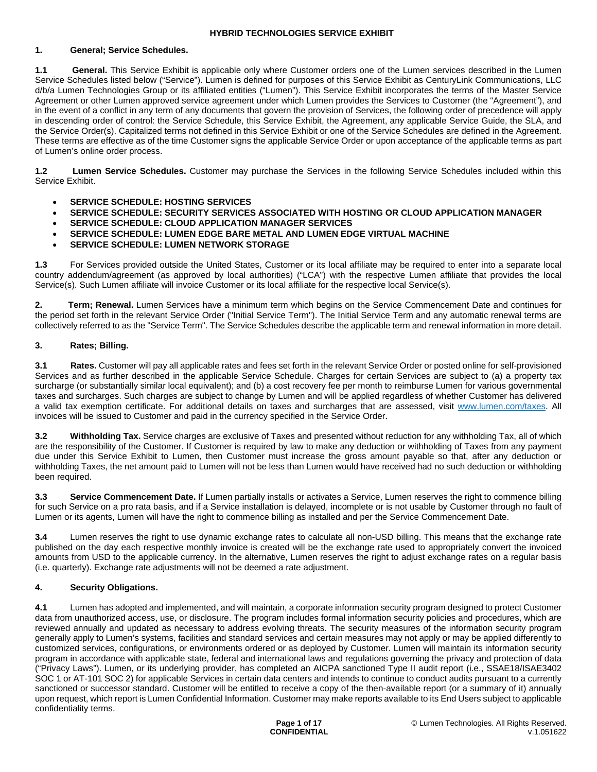### **1. General; Service Schedules.**

**1.1 General.** This Service Exhibit is applicable only where Customer orders one of the Lumen services described in the Lumen Service Schedules listed below ("Service"). Lumen is defined for purposes of this Service Exhibit as CenturyLink Communications, LLC d/b/a Lumen Technologies Group or its affiliated entities ("Lumen"). This Service Exhibit incorporates the terms of the Master Service Agreement or other Lumen approved service agreement under which Lumen provides the Services to Customer (the "Agreement"), and in the event of a conflict in any term of any documents that govern the provision of Services, the following order of precedence will apply in descending order of control: the Service Schedule, this Service Exhibit, the Agreement, any applicable Service Guide, the SLA, and the Service Order(s). Capitalized terms not defined in this Service Exhibit or one of the Service Schedules are defined in the Agreement. These terms are effective as of the time Customer signs the applicable Service Order or upon acceptance of the applicable terms as part of Lumen's online order process.

**1.2 Lumen Service Schedules.** Customer may purchase the Services in the following Service Schedules included within this Service Exhibit.

- **SERVICE SCHEDULE: HOSTING SERVICES**
- **SERVICE SCHEDULE: SECURITY SERVICES ASSOCIATED WITH HOSTING OR CLOUD APPLICATION MANAGER**
- **SERVICE SCHEDULE: CLOUD APPLICATION MANAGER SERVICES**
- **SERVICE SCHEDULE: LUMEN EDGE BARE METAL AND LUMEN EDGE VIRTUAL MACHINE**
- **SERVICE SCHEDULE: LUMEN NETWORK STORAGE**

**1.3** For Services provided outside the United States, Customer or its local affiliate may be required to enter into a separate local country addendum/agreement (as approved by local authorities) ("LCA") with the respective Lumen affiliate that provides the local Service(s). Such Lumen affiliate will invoice Customer or its local affiliate for the respective local Service(s).

**2. Term; Renewal.** Lumen Services have a minimum term which begins on the Service Commencement Date and continues for the period set forth in the relevant Service Order ("Initial Service Term"). The Initial Service Term and any automatic renewal terms are collectively referred to as the "Service Term". The Service Schedules describe the applicable term and renewal information in more detail.

# **3. Rates; Billing.**

**3.1 Rates.** Customer will pay all applicable rates and fees set forth in the relevant Service Order or posted online for self-provisioned Services and as further described in the applicable Service Schedule. Charges for certain Services are subject to (a) a property tax surcharge (or substantially similar local equivalent); and (b) a cost recovery fee per month to reimburse Lumen for various governmental taxes and surcharges. Such charges are subject to change by Lumen and will be applied regardless of whether Customer has delivered a valid tax exemption certificate. For additional details on taxes and surcharges that are assessed, visit www.lumen.com/taxes. All invoices will be issued to Customer and paid in the currency specified in the Service Order.

**3.2 Withholding Tax.** Service charges are exclusive of Taxes and presented without reduction for any withholding Tax, all of which are the responsibility of the Customer. If Customer is required by law to make any deduction or withholding of Taxes from any payment due under this Service Exhibit to Lumen, then Customer must increase the gross amount payable so that, after any deduction or withholding Taxes, the net amount paid to Lumen will not be less than Lumen would have received had no such deduction or withholding been required.

**3.3 Service Commencement Date.** If Lumen partially installs or activates a Service, Lumen reserves the right to commence billing for such Service on a pro rata basis, and if a Service installation is delayed, incomplete or is not usable by Customer through no fault of Lumen or its agents, Lumen will have the right to commence billing as installed and per the Service Commencement Date.

**3.4** Lumen reserves the right to use dynamic exchange rates to calculate all non-USD billing. This means that the exchange rate published on the day each respective monthly invoice is created will be the exchange rate used to appropriately convert the invoiced amounts from USD to the applicable currency. In the alternative, Lumen reserves the right to adjust exchange rates on a regular basis (i.e. quarterly). Exchange rate adjustments will not be deemed a rate adjustment.

# **4. Security Obligations.**

**4.1** Lumen has adopted and implemented, and will maintain, a corporate information security program designed to protect Customer data from unauthorized access, use, or disclosure. The program includes formal information security policies and procedures, which are reviewed annually and updated as necessary to address evolving threats. The security measures of the information security program generally apply to Lumen's systems, facilities and standard services and certain measures may not apply or may be applied differently to customized services, configurations, or environments ordered or as deployed by Customer. Lumen will maintain its information security program in accordance with applicable state, federal and international laws and regulations governing the privacy and protection of data ("Privacy Laws"). Lumen, or its underlying provider, has completed an AICPA sanctioned Type II audit report (i.e., SSAE18/ISAE3402 SOC 1 or AT-101 SOC 2) for applicable Services in certain data centers and intends to continue to conduct audits pursuant to a currently sanctioned or successor standard. Customer will be entitled to receive a copy of the then-available report (or a summary of it) annually upon request, which report is Lumen Confidential Information. Customer may make reports available to its End Users subject to applicable confidentiality terms.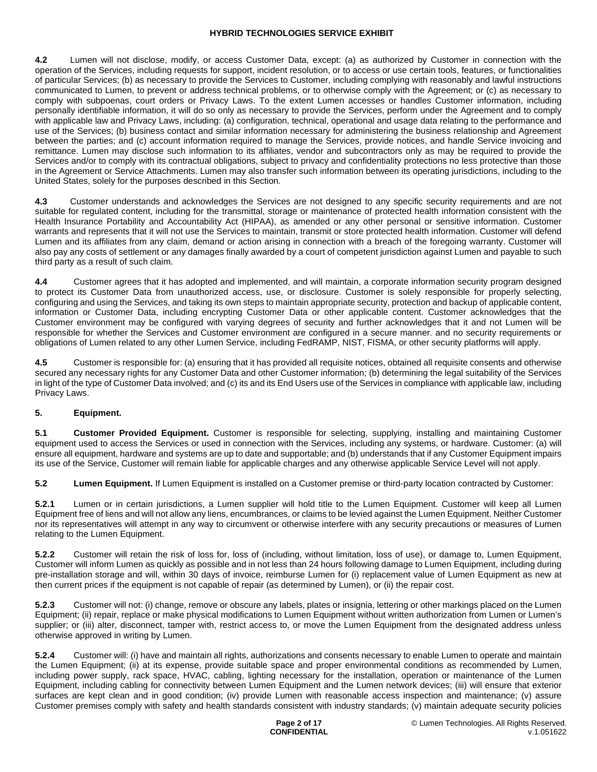**4.2** Lumen will not disclose, modify, or access Customer Data, except: (a) as authorized by Customer in connection with the operation of the Services, including requests for support, incident resolution, or to access or use certain tools, features, or functionalities of particular Services; (b) as necessary to provide the Services to Customer, including complying with reasonably and lawful instructions communicated to Lumen, to prevent or address technical problems, or to otherwise comply with the Agreement; or (c) as necessary to comply with subpoenas, court orders or Privacy Laws. To the extent Lumen accesses or handles Customer information, including personally identifiable information, it will do so only as necessary to provide the Services, perform under the Agreement and to comply with applicable law and Privacy Laws, including: (a) configuration, technical, operational and usage data relating to the performance and use of the Services; (b) business contact and similar information necessary for administering the business relationship and Agreement between the parties; and (c) account information required to manage the Services, provide notices, and handle Service invoicing and remittance. Lumen may disclose such information to its affiliates, vendor and subcontractors only as may be required to provide the Services and/or to comply with its contractual obligations, subject to privacy and confidentiality protections no less protective than those in the Agreement or Service Attachments. Lumen may also transfer such information between its operating jurisdictions, including to the United States, solely for the purposes described in this Section.

**4.3** Customer understands and acknowledges the Services are not designed to any specific security requirements and are not suitable for regulated content, including for the transmittal, storage or maintenance of protected health information consistent with the Health Insurance Portability and Accountability Act (HIPAA), as amended or any other personal or sensitive information. Customer warrants and represents that it will not use the Services to maintain, transmit or store protected health information. Customer will defend Lumen and its affiliates from any claim, demand or action arising in connection with a breach of the foregoing warranty. Customer will also pay any costs of settlement or any damages finally awarded by a court of competent jurisdiction against Lumen and payable to such third party as a result of such claim.

**4.4** Customer agrees that it has adopted and implemented, and will maintain, a corporate information security program designed to protect its Customer Data from unauthorized access, use, or disclosure. Customer is solely responsible for properly selecting, configuring and using the Services, and taking its own steps to maintain appropriate security, protection and backup of applicable content, information or Customer Data, including encrypting Customer Data or other applicable content. Customer acknowledges that the Customer environment may be configured with varying degrees of security and further acknowledges that it and not Lumen will be responsible for whether the Services and Customer environment are configured in a secure manner. and no security requirements or obligations of Lumen related to any other Lumen Service, including FedRAMP, NIST, FISMA, or other security platforms will apply.

**4.5** Customer is responsible for: (a) ensuring that it has provided all requisite notices, obtained all requisite consents and otherwise secured any necessary rights for any Customer Data and other Customer information; (b) determining the legal suitability of the Services in light of the type of Customer Data involved; and (c) its and its End Users use of the Services in compliance with applicable law, including Privacy Laws.

# **5. Equipment.**

**5.1 Customer Provided Equipment.** Customer is responsible for selecting, supplying, installing and maintaining Customer equipment used to access the Services or used in connection with the Services, including any systems, or hardware. Customer: (a) will ensure all equipment, hardware and systems are up to date and supportable; and (b) understands that if any Customer Equipment impairs its use of the Service, Customer will remain liable for applicable charges and any otherwise applicable Service Level will not apply.

**5.2 Lumen Equipment.** If Lumen Equipment is installed on a Customer premise or third-party location contracted by Customer:

**5.2.1** Lumen or in certain jurisdictions, a Lumen supplier will hold title to the Lumen Equipment. Customer will keep all Lumen Equipment free of liens and will not allow any liens, encumbrances, or claims to be levied against the Lumen Equipment. Neither Customer nor its representatives will attempt in any way to circumvent or otherwise interfere with any security precautions or measures of Lumen relating to the Lumen Equipment.

**5.2.2** Customer will retain the risk of loss for, loss of (including, without limitation, loss of use), or damage to, Lumen Equipment, Customer will inform Lumen as quickly as possible and in not less than 24 hours following damage to Lumen Equipment, including during pre-installation storage and will, within 30 days of invoice, reimburse Lumen for (i) replacement value of Lumen Equipment as new at then current prices if the equipment is not capable of repair (as determined by Lumen), or (ii) the repair cost.

**5.2.3** Customer will not: (i) change, remove or obscure any labels, plates or insignia, lettering or other markings placed on the Lumen Equipment; (ii) repair, replace or make physical modifications to Lumen Equipment without written authorization from Lumen or Lumen's supplier; or (iii) alter, disconnect, tamper with, restrict access to, or move the Lumen Equipment from the designated address unless otherwise approved in writing by Lumen.

**5.2.4** Customer will: (i) have and maintain all rights, authorizations and consents necessary to enable Lumen to operate and maintain the Lumen Equipment; (ii) at its expense, provide suitable space and proper environmental conditions as recommended by Lumen, including power supply, rack space, HVAC, cabling, lighting necessary for the installation, operation or maintenance of the Lumen Equipment, including cabling for connectivity between Lumen Equipment and the Lumen network devices; (iii) will ensure that exterior surfaces are kept clean and in good condition; (iv) provide Lumen with reasonable access inspection and maintenance; (v) assure Customer premises comply with safety and health standards consistent with industry standards; (v) maintain adequate security policies

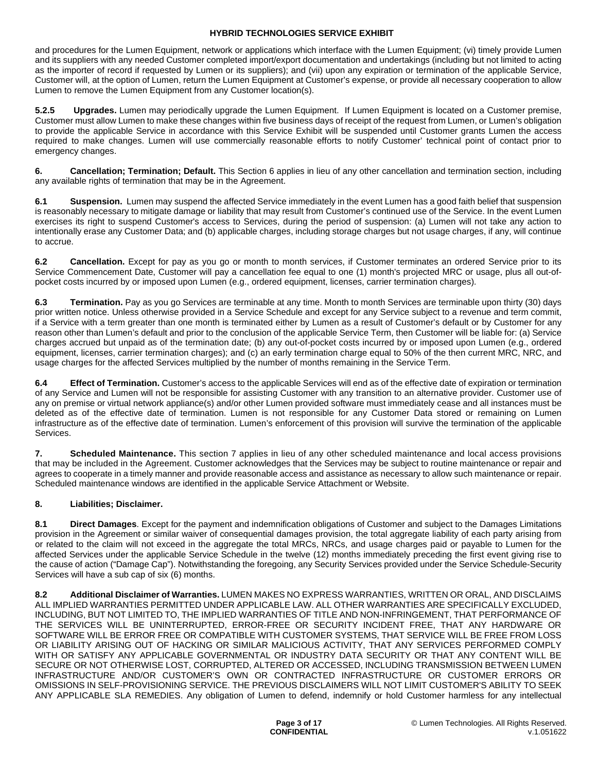and procedures for the Lumen Equipment, network or applications which interface with the Lumen Equipment; (vi) timely provide Lumen and its suppliers with any needed Customer completed import/export documentation and undertakings (including but not limited to acting as the importer of record if requested by Lumen or its suppliers); and (vii) upon any expiration or termination of the applicable Service, Customer will, at the option of Lumen, return the Lumen Equipment at Customer's expense, or provide all necessary cooperation to allow Lumen to remove the Lumen Equipment from any Customer location(s).

**5.2.5 Upgrades.** Lumen may periodically upgrade the Lumen Equipment. If Lumen Equipment is located on a Customer premise, Customer must allow Lumen to make these changes within five business days of receipt of the request from Lumen, or Lumen's obligation to provide the applicable Service in accordance with this Service Exhibit will be suspended until Customer grants Lumen the access required to make changes. Lumen will use commercially reasonable efforts to notify Customer' technical point of contact prior to emergency changes.

**6. Cancellation; Termination; Default.** This Section 6 applies in lieu of any other cancellation and termination section, including any available rights of termination that may be in the Agreement.

**6.1 Suspension.** Lumen may suspend the affected Service immediately in the event Lumen has a good faith belief that suspension is reasonably necessary to mitigate damage or liability that may result from Customer's continued use of the Service. In the event Lumen exercises its right to suspend Customer's access to Services, during the period of suspension: (a) Lumen will not take any action to intentionally erase any Customer Data; and (b) applicable charges, including storage charges but not usage charges, if any, will continue to accrue.

**6.2 Cancellation.** Except for pay as you go or month to month services, if Customer terminates an ordered Service prior to its Service Commencement Date, Customer will pay a cancellation fee equal to one (1) month's projected MRC or usage, plus all out-ofpocket costs incurred by or imposed upon Lumen (e.g., ordered equipment, licenses, carrier termination charges).

**6.3 Termination.** Pay as you go Services are terminable at any time. Month to month Services are terminable upon thirty (30) days prior written notice. Unless otherwise provided in a Service Schedule and except for any Service subject to a revenue and term commit, if a Service with a term greater than one month is terminated either by Lumen as a result of Customer's default or by Customer for any reason other than Lumen's default and prior to the conclusion of the applicable Service Term, then Customer will be liable for: (a) Service charges accrued but unpaid as of the termination date; (b) any out-of-pocket costs incurred by or imposed upon Lumen (e.g., ordered equipment, licenses, carrier termination charges); and (c) an early termination charge equal to 50% of the then current MRC, NRC, and usage charges for the affected Services multiplied by the number of months remaining in the Service Term.

**6.4 Effect of Termination.** Customer's access to the applicable Services will end as of the effective date of expiration or termination of any Service and Lumen will not be responsible for assisting Customer with any transition to an alternative provider. Customer use of any on premise or virtual network appliance(s) and/or other Lumen provided software must immediately cease and all instances must be deleted as of the effective date of termination. Lumen is not responsible for any Customer Data stored or remaining on Lumen infrastructure as of the effective date of termination. Lumen's enforcement of this provision will survive the termination of the applicable Services.

**7. Scheduled Maintenance.** This section 7 applies in lieu of any other scheduled maintenance and local access provisions that may be included in the Agreement. Customer acknowledges that the Services may be subject to routine maintenance or repair and agrees to cooperate in a timely manner and provide reasonable access and assistance as necessary to allow such maintenance or repair. Scheduled maintenance windows are identified in the applicable Service Attachment or Website.

# **8. Liabilities; Disclaimer.**

**8.1 Direct Damages**. Except for the payment and indemnification obligations of Customer and subject to the Damages Limitations provision in the Agreement or similar waiver of consequential damages provision, the total aggregate liability of each party arising from or related to the claim will not exceed in the aggregate the total MRCs, NRCs, and usage charges paid or payable to Lumen for the affected Services under the applicable Service Schedule in the twelve (12) months immediately preceding the first event giving rise to the cause of action ("Damage Cap"). Notwithstanding the foregoing, any Security Services provided under the Service Schedule-Security Services will have a sub cap of six (6) months.

**8.2 Additional Disclaimer of Warranties.** LUMEN MAKES NO EXPRESS WARRANTIES, WRITTEN OR ORAL, AND DISCLAIMS ALL IMPLIED WARRANTIES PERMITTED UNDER APPLICABLE LAW. ALL OTHER WARRANTIES ARE SPECIFICALLY EXCLUDED, INCLUDING, BUT NOT LIMITED TO, THE IMPLIED WARRANTIES OF TITLE AND NON-INFRINGEMENT, THAT PERFORMANCE OF THE SERVICES WILL BE UNINTERRUPTED, ERROR-FREE OR SECURITY INCIDENT FREE, THAT ANY HARDWARE OR SOFTWARE WILL BE ERROR FREE OR COMPATIBLE WITH CUSTOMER SYSTEMS, THAT SERVICE WILL BE FREE FROM LOSS OR LIABILITY ARISING OUT OF HACKING OR SIMILAR MALICIOUS ACTIVITY, THAT ANY SERVICES PERFORMED COMPLY WITH OR SATISFY ANY APPLICABLE GOVERNMENTAL OR INDUSTRY DATA SECURITY OR THAT ANY CONTENT WILL BE SECURE OR NOT OTHERWISE LOST, CORRUPTED, ALTERED OR ACCESSED, INCLUDING TRANSMISSION BETWEEN LUMEN INFRASTRUCTURE AND/OR CUSTOMER'S OWN OR CONTRACTED INFRASTRUCTURE OR CUSTOMER ERRORS OR OMISSIONS IN SELF-PROVISIONING SERVICE. THE PREVIOUS DISCLAIMERS WILL NOT LIMIT CUSTOMER'S ABILITY TO SEEK ANY APPLICABLE SLA REMEDIES. Any obligation of Lumen to defend, indemnify or hold Customer harmless for any intellectual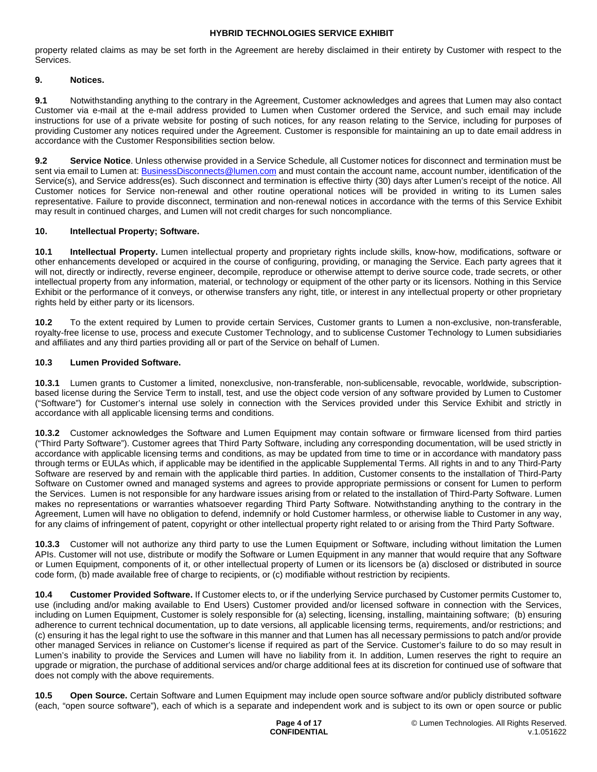property related claims as may be set forth in the Agreement are hereby disclaimed in their entirety by Customer with respect to the Services.

# **9. Notices.**

**9.1** Notwithstanding anything to the contrary in the Agreement, Customer acknowledges and agrees that Lumen may also contact Customer via e-mail at the e-mail address provided to Lumen when Customer ordered the Service, and such email may include instructions for use of a private website for posting of such notices, for any reason relating to the Service, including for purposes of providing Customer any notices required under the Agreement. Customer is responsible for maintaining an up to date email address in accordance with the Customer Responsibilities section below.

**9.2 Service Notice**. Unless otherwise provided in a Service Schedule, all Customer notices for disconnect and termination must be sent via email to Lumen at: **BusinessDisconnects@lumen.com** and must contain the account name, account number, identification of the Service(s), and Service address(es). Such disconnect and termination is effective thirty (30) days after Lumen's receipt of the notice. All Customer notices for Service non-renewal and other routine operational notices will be provided in writing to its Lumen sales representative. Failure to provide disconnect, termination and non-renewal notices in accordance with the terms of this Service Exhibit may result in continued charges, and Lumen will not credit charges for such noncompliance.

### **10. Intellectual Property; Software.**

**10.1 Intellectual Property.** Lumen intellectual property and proprietary rights include skills, know-how, modifications, software or other enhancements developed or acquired in the course of configuring, providing, or managing the Service. Each party agrees that it will not, directly or indirectly, reverse engineer, decompile, reproduce or otherwise attempt to derive source code, trade secrets, or other intellectual property from any information, material, or technology or equipment of the other party or its licensors. Nothing in this Service Exhibit or the performance of it conveys, or otherwise transfers any right, title, or interest in any intellectual property or other proprietary rights held by either party or its licensors.

**10.2** To the extent required by Lumen to provide certain Services, Customer grants to Lumen a non-exclusive, non-transferable, royalty-free license to use, process and execute Customer Technology, and to sublicense Customer Technology to Lumen subsidiaries and affiliates and any third parties providing all or part of the Service on behalf of Lumen.

### **10.3 Lumen Provided Software.**

**10.3.1** Lumen grants to Customer a limited, nonexclusive, non-transferable, non-sublicensable, revocable, worldwide, subscriptionbased license during the Service Term to install, test, and use the object code version of any software provided by Lumen to Customer ("Software") for Customer's internal use solely in connection with the Services provided under this Service Exhibit and strictly in accordance with all applicable licensing terms and conditions.

**10.3.2** Customer acknowledges the Software and Lumen Equipment may contain software or firmware licensed from third parties ("Third Party Software"). Customer agrees that Third Party Software, including any corresponding documentation, will be used strictly in accordance with applicable licensing terms and conditions, as may be updated from time to time or in accordance with mandatory pass through terms or EULAs which, if applicable may be identified in the applicable Supplemental Terms. All rights in and to any Third-Party Software are reserved by and remain with the applicable third parties. In addition, Customer consents to the installation of Third-Party Software on Customer owned and managed systems and agrees to provide appropriate permissions or consent for Lumen to perform the Services. Lumen is not responsible for any hardware issues arising from or related to the installation of Third-Party Software. Lumen makes no representations or warranties whatsoever regarding Third Party Software. Notwithstanding anything to the contrary in the Agreement, Lumen will have no obligation to defend, indemnify or hold Customer harmless, or otherwise liable to Customer in any way, for any claims of infringement of patent, copyright or other intellectual property right related to or arising from the Third Party Software.

**10.3.3** Customer will not authorize any third party to use the Lumen Equipment or Software, including without limitation the Lumen APIs. Customer will not use, distribute or modify the Software or Lumen Equipment in any manner that would require that any Software or Lumen Equipment, components of it, or other intellectual property of Lumen or its licensors be (a) disclosed or distributed in source code form, (b) made available free of charge to recipients, or (c) modifiable without restriction by recipients.

**10.4 Customer Provided Software.** If Customer elects to, or if the underlying Service purchased by Customer permits Customer to, use (including and/or making available to End Users) Customer provided and/or licensed software in connection with the Services, including on Lumen Equipment, Customer is solely responsible for (a) selecting, licensing, installing, maintaining software; (b) ensuring adherence to current technical documentation, up to date versions, all applicable licensing terms, requirements, and/or restrictions; and (c) ensuring it has the legal right to use the software in this manner and that Lumen has all necessary permissions to patch and/or provide other managed Services in reliance on Customer's license if required as part of the Service. Customer's failure to do so may result in Lumen's inability to provide the Services and Lumen will have no liability from it. In addition, Lumen reserves the right to require an upgrade or migration, the purchase of additional services and/or charge additional fees at its discretion for continued use of software that does not comply with the above requirements.

**10.5 Open Source.** Certain Software and Lumen Equipment may include open source software and/or publicly distributed software (each, "open source software"), each of which is a separate and independent work and is subject to its own or open source or public

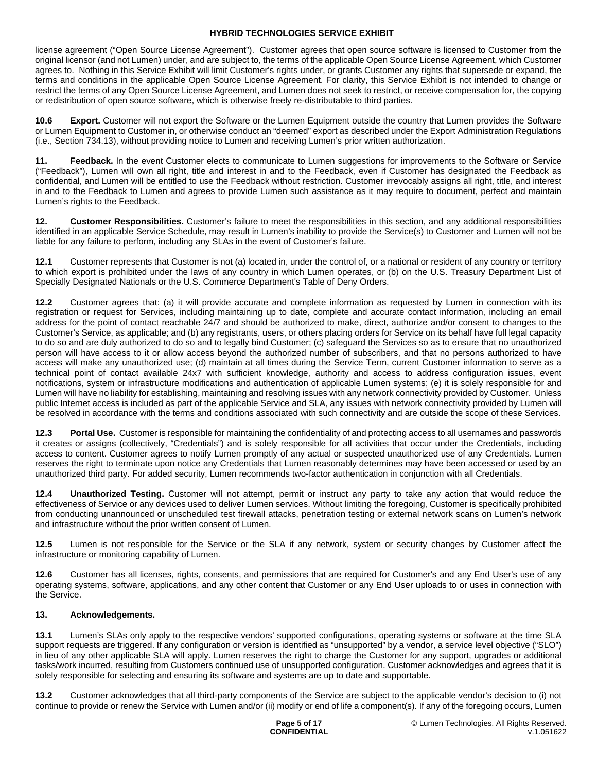license agreement ("Open Source License Agreement"). Customer agrees that open source software is licensed to Customer from the original licensor (and not Lumen) under, and are subject to, the terms of the applicable Open Source License Agreement, which Customer agrees to. Nothing in this Service Exhibit will limit Customer's rights under, or grants Customer any rights that supersede or expand, the terms and conditions in the applicable Open Source License Agreement. For clarity, this Service Exhibit is not intended to change or restrict the terms of any Open Source License Agreement, and Lumen does not seek to restrict, or receive compensation for, the copying or redistribution of open source software, which is otherwise freely re-distributable to third parties.

**10.6 Export.** Customer will not export the Software or the Lumen Equipment outside the country that Lumen provides the Software or Lumen Equipment to Customer in, or otherwise conduct an "deemed" export as described under the Export Administration Regulations (i.e., Section 734.13), without providing notice to Lumen and receiving Lumen's prior written authorization.

**11. Feedback.** In the event Customer elects to communicate to Lumen suggestions for improvements to the Software or Service ("Feedback"), Lumen will own all right, title and interest in and to the Feedback, even if Customer has designated the Feedback as confidential, and Lumen will be entitled to use the Feedback without restriction. Customer irrevocably assigns all right, title, and interest in and to the Feedback to Lumen and agrees to provide Lumen such assistance as it may require to document, perfect and maintain Lumen's rights to the Feedback.

**12. Customer Responsibilities.** Customer's failure to meet the responsibilities in this section, and any additional responsibilities identified in an applicable Service Schedule, may result in Lumen's inability to provide the Service(s) to Customer and Lumen will not be liable for any failure to perform, including any SLAs in the event of Customer's failure.

**12.1** Customer represents that Customer is not (a) located in, under the control of, or a national or resident of any country or territory to which export is prohibited under the laws of any country in which Lumen operates, or (b) on the U.S. Treasury Department List of Specially Designated Nationals or the U.S. Commerce Department's Table of Deny Orders.

**12.2** Customer agrees that: (a) it will provide accurate and complete information as requested by Lumen in connection with its registration or request for Services, including maintaining up to date, complete and accurate contact information, including an email address for the point of contact reachable 24/7 and should be authorized to make, direct, authorize and/or consent to changes to the Customer's Service, as applicable; and (b) any registrants, users, or others placing orders for Service on its behalf have full legal capacity to do so and are duly authorized to do so and to legally bind Customer; (c) safeguard the Services so as to ensure that no unauthorized person will have access to it or allow access beyond the authorized number of subscribers, and that no persons authorized to have access will make any unauthorized use; (d) maintain at all times during the Service Term, current Customer information to serve as a technical point of contact available 24x7 with sufficient knowledge, authority and access to address configuration issues, event notifications, system or infrastructure modifications and authentication of applicable Lumen systems; (e) it is solely responsible for and Lumen will have no liability for establishing, maintaining and resolving issues with any network connectivity provided by Customer. Unless public Internet access is included as part of the applicable Service and SLA, any issues with network connectivity provided by Lumen will be resolved in accordance with the terms and conditions associated with such connectivity and are outside the scope of these Services.

**12.3 Portal Use.** Customer is responsible for maintaining the confidentiality of and protecting access to all usernames and passwords it creates or assigns (collectively, "Credentials") and is solely responsible for all activities that occur under the Credentials, including access to content. Customer agrees to notify Lumen promptly of any actual or suspected unauthorized use of any Credentials. Lumen reserves the right to terminate upon notice any Credentials that Lumen reasonably determines may have been accessed or used by an unauthorized third party. For added security, Lumen recommends two-factor authentication in conjunction with all Credentials.

**12.4 Unauthorized Testing.** Customer will not attempt, permit or instruct any party to take any action that would reduce the effectiveness of Service or any devices used to deliver Lumen services. Without limiting the foregoing, Customer is specifically prohibited from conducting unannounced or unscheduled test firewall attacks, penetration testing or external network scans on Lumen's network and infrastructure without the prior written consent of Lumen.

**12.5** Lumen is not responsible for the Service or the SLA if any network, system or security changes by Customer affect the infrastructure or monitoring capability of Lumen.

**12.6** Customer has all licenses, rights, consents, and permissions that are required for Customer's and any End User's use of any operating systems, software, applications, and any other content that Customer or any End User uploads to or uses in connection with the Service.

# **13. Acknowledgements.**

**13.1** Lumen's SLAs only apply to the respective vendors' supported configurations, operating systems or software at the time SLA support requests are triggered. If any configuration or version is identified as "unsupported" by a vendor, a service level objective ("SLO") in lieu of any other applicable SLA will apply. Lumen reserves the right to charge the Customer for any support, upgrades or additional tasks/work incurred, resulting from Customers continued use of unsupported configuration. Customer acknowledges and agrees that it is solely responsible for selecting and ensuring its software and systems are up to date and supportable.

**13.2** Customer acknowledges that all third-party components of the Service are subject to the applicable vendor's decision to (i) not continue to provide or renew the Service with Lumen and/or (ii) modify or end of life a component(s). If any of the foregoing occurs, Lumen

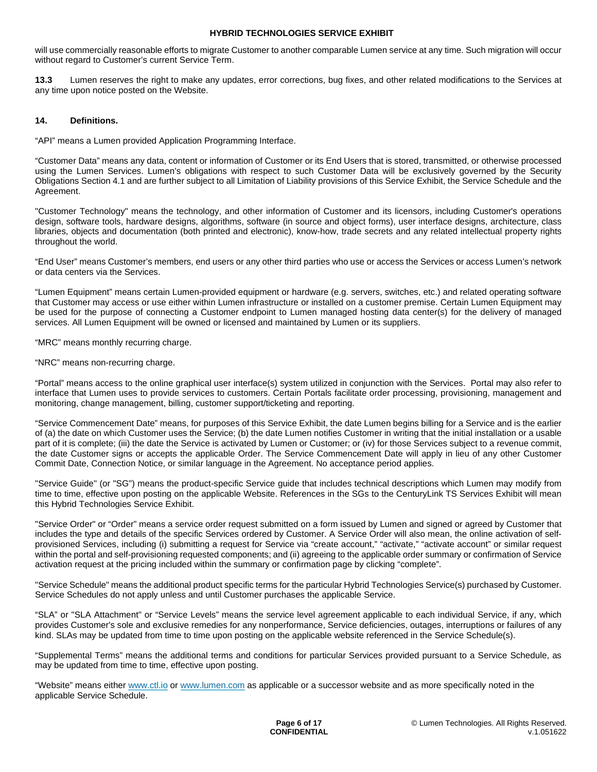will use commercially reasonable efforts to migrate Customer to another comparable Lumen service at any time. Such migration will occur without regard to Customer's current Service Term.

**13.3** Lumen reserves the right to make any updates, error corrections, bug fixes, and other related modifications to the Services at any time upon notice posted on the Website.

#### **14. Definitions.**

"API" means a Lumen provided Application Programming Interface.

"Customer Data" means any data, content or information of Customer or its End Users that is stored, transmitted, or otherwise processed using the Lumen Services. Lumen's obligations with respect to such Customer Data will be exclusively governed by the Security Obligations Section 4.1 and are further subject to all Limitation of Liability provisions of this Service Exhibit, the Service Schedule and the Agreement.

"Customer Technology" means the technology, and other information of Customer and its licensors, including Customer's operations design, software tools, hardware designs, algorithms, software (in source and object forms), user interface designs, architecture, class libraries, objects and documentation (both printed and electronic), know-how, trade secrets and any related intellectual property rights throughout the world.

"End User" means Customer's members, end users or any other third parties who use or access the Services or access Lumen's network or data centers via the Services.

"Lumen Equipment" means certain Lumen-provided equipment or hardware (e.g. servers, switches, etc.) and related operating software that Customer may access or use either within Lumen infrastructure or installed on a customer premise. Certain Lumen Equipment may be used for the purpose of connecting a Customer endpoint to Lumen managed hosting data center(s) for the delivery of managed services. All Lumen Equipment will be owned or licensed and maintained by Lumen or its suppliers.

"MRC" means monthly recurring charge.

"NRC" means non-recurring charge.

"Portal" means access to the online graphical user interface(s) system utilized in conjunction with the Services. Portal may also refer to interface that Lumen uses to provide services to customers. Certain Portals facilitate order processing, provisioning, management and monitoring, change management, billing, customer support/ticketing and reporting.

"Service Commencement Date" means, for purposes of this Service Exhibit, the date Lumen begins billing for a Service and is the earlier of (a) the date on which Customer uses the Service; (b) the date Lumen notifies Customer in writing that the initial installation or a usable part of it is complete; (iii) the date the Service is activated by Lumen or Customer; or (iv) for those Services subject to a revenue commit, the date Customer signs or accepts the applicable Order. The Service Commencement Date will apply in lieu of any other Customer Commit Date, Connection Notice, or similar language in the Agreement. No acceptance period applies.

"Service Guide" (or "SG") means the product-specific Service guide that includes technical descriptions which Lumen may modify from time to time, effective upon posting on the applicable Website. References in the SGs to the CenturyLink TS Services Exhibit will mean this Hybrid Technologies Service Exhibit.

"Service Order" or "Order" means a service order request submitted on a form issued by Lumen and signed or agreed by Customer that includes the type and details of the specific Services ordered by Customer. A Service Order will also mean, the online activation of selfprovisioned Services, including (i) submitting a request for Service via "create account," "activate," "activate account" or similar request within the portal and self-provisioning requested components; and (ii) agreeing to the applicable order summary or confirmation of Service activation request at the pricing included within the summary or confirmation page by clicking "complete".

"Service Schedule" means the additional product specific terms for the particular Hybrid Technologies Service(s) purchased by Customer. Service Schedules do not apply unless and until Customer purchases the applicable Service.

"SLA" or "SLA Attachment" or "Service Levels" means the service level agreement applicable to each individual Service, if any, which provides Customer's sole and exclusive remedies for any nonperformance, Service deficiencies, outages, interruptions or failures of any kind. SLAs may be updated from time to time upon posting on the applicable website referenced in the Service Schedule(s).

"Supplemental Terms" means the additional terms and conditions for particular Services provided pursuant to a Service Schedule, as may be updated from time to time, effective upon posting.

"Website" means either www.ctl.io or www.lumen.com as applicable or a successor website and as more specifically noted in the applicable Service Schedule.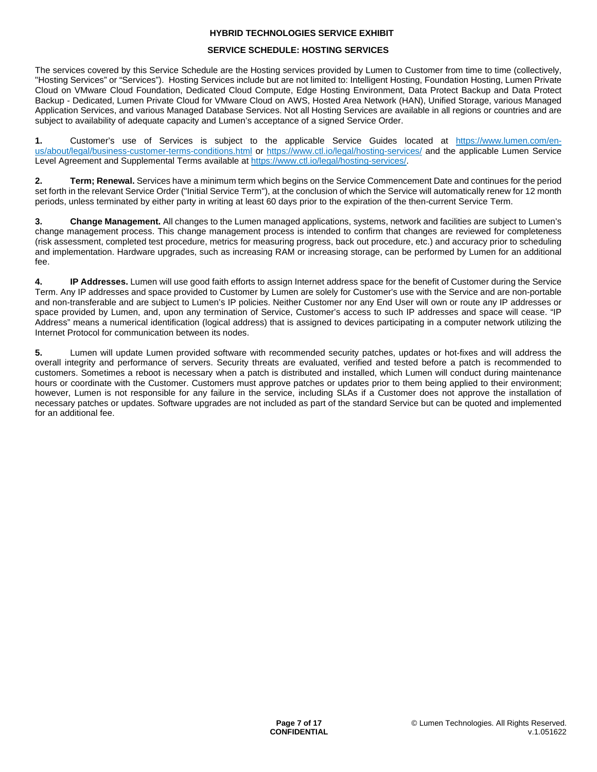### **SERVICE SCHEDULE: HOSTING SERVICES**

The services covered by this Service Schedule are the Hosting services provided by Lumen to Customer from time to time (collectively, "Hosting Services" or "Services"). Hosting Services include but are not limited to: Intelligent Hosting, Foundation Hosting, Lumen Private Cloud on VMware Cloud Foundation, Dedicated Cloud Compute, Edge Hosting Environment, Data Protect Backup and Data Protect Backup - Dedicated, Lumen Private Cloud for VMware Cloud on AWS, Hosted Area Network (HAN), Unified Storage, various Managed Application Services, and various Managed Database Services. Not all Hosting Services are available in all regions or countries and are subject to availability of adequate capacity and Lumen's acceptance of a signed Service Order.

**1.** Customer's use of Services is subject to the applicable Service Guides located at [https://www.lumen.com/en](https://www.lumen.com/en-us/about/legal/business-customer-terms-conditions.html)[us/about/legal/business-customer-terms-conditions.html or](https://www.lumen.com/en-us/about/legal/business-customer-terms-conditions.html) <https://www.ctl.io/legal/hosting-services/> [and the applicable Lumen Service](https://www.lumen.com/en-us/about/legal/business-customer-terms-conditions.html)  Level Agreement and Supplemental Terms available at [https://www.ctl.io/legal/hosting-services/.](https://www.ctl.io/legal/hosting-services/)

**2. Term; Renewal.** Services have a minimum term which begins on the Service Commencement Date and continues for the period set forth in the relevant Service Order ("Initial Service Term"), at the conclusion of which the Service will automatically renew for 12 month periods, unless terminated by either party in writing at least 60 days prior to the expiration of the then-current Service Term.

**3. Change Management.** All changes to the Lumen managed applications, systems, network and facilities are subject to Lumen's change management process. This change management process is intended to confirm that changes are reviewed for completeness (risk assessment, completed test procedure, metrics for measuring progress, back out procedure, etc.) and accuracy prior to scheduling and implementation. Hardware upgrades, such as increasing RAM or increasing storage, can be performed by Lumen for an additional fee.

**4. IP Addresses.** Lumen will use good faith efforts to assign Internet address space for the benefit of Customer during the Service Term. Any IP addresses and space provided to Customer by Lumen are solely for Customer's use with the Service and are non-portable and non-transferable and are subject to Lumen's IP policies. Neither Customer nor any End User will own or route any IP addresses or space provided by Lumen, and, upon any termination of Service, Customer's access to such IP addresses and space will cease. "IP Address" means a numerical identification (logical address) that is assigned to devices participating in a computer network utilizing the Internet Protocol for communication between its nodes.

**5.** Lumen will update Lumen provided software with recommended security patches, updates or hot-fixes and will address the overall integrity and performance of servers. Security threats are evaluated, verified and tested before a patch is recommended to customers. Sometimes a reboot is necessary when a patch is distributed and installed, which Lumen will conduct during maintenance hours or coordinate with the Customer. Customers must approve patches or updates prior to them being applied to their environment; however, Lumen is not responsible for any failure in the service, including SLAs if a Customer does not approve the installation of necessary patches or updates. Software upgrades are not included as part of the standard Service but can be quoted and implemented for an additional fee.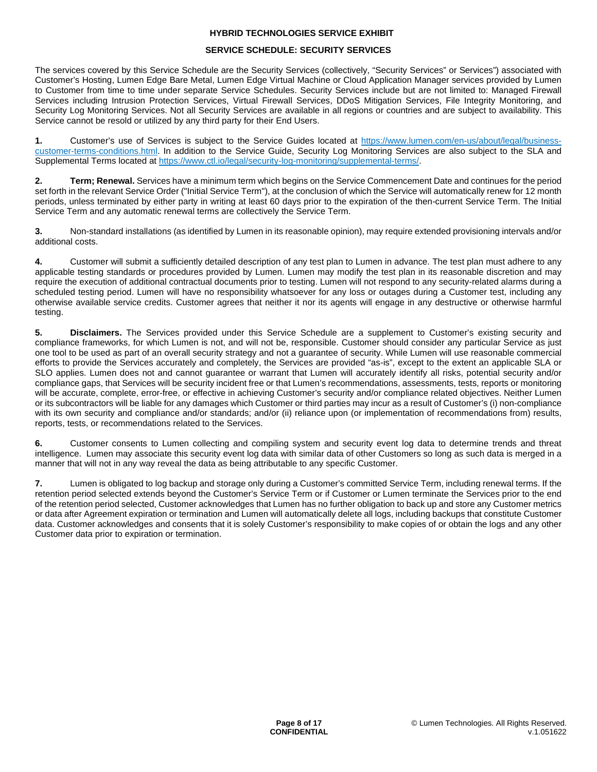# **SERVICE SCHEDULE: SECURITY SERVICES**

The services covered by this Service Schedule are the Security Services (collectively, "Security Services" or Services") associated with Customer's Hosting, Lumen Edge Bare Metal, Lumen Edge Virtual Machine or Cloud Application Manager services provided by Lumen to Customer from time to time under separate Service Schedules. Security Services include but are not limited to: Managed Firewall Services including Intrusion Protection Services, Virtual Firewall Services, DDoS Mitigation Services, File Integrity Monitoring, and Security Log Monitoring Services. Not all Security Services are available in all regions or countries and are subject to availability. This Service cannot be resold or utilized by any third party for their End Users.

**1.** Customer's use of Services is subject to the Service Guides located at [https://www.lumen.com/en-us/about/legal/business](https://www.lumen.com/en-us/about/legal/business-customer-terms-conditions.html)[customer-terms-conditions.html. In addition to the Service Guide, Security Log Monitoring Services are also subject to the SLA and](https://www.lumen.com/en-us/about/legal/business-customer-terms-conditions.html)  Supplemental Terms located at [https://www.ctl.io/legal/security-log-monitoring/supplemental-terms/.](https://www.ctl.io/legal/security-log-monitoring/supplemental-terms/)

**2. Term; Renewal.** Services have a minimum term which begins on the Service Commencement Date and continues for the period set forth in the relevant Service Order ("Initial Service Term"), at the conclusion of which the Service will automatically renew for 12 month periods, unless terminated by either party in writing at least 60 days prior to the expiration of the then-current Service Term. The Initial Service Term and any automatic renewal terms are collectively the Service Term.

**3.** Non-standard installations (as identified by Lumen in its reasonable opinion), may require extended provisioning intervals and/or additional costs.

**4.** Customer will submit a sufficiently detailed description of any test plan to Lumen in advance. The test plan must adhere to any applicable testing standards or procedures provided by Lumen. Lumen may modify the test plan in its reasonable discretion and may require the execution of additional contractual documents prior to testing. Lumen will not respond to any security-related alarms during a scheduled testing period. Lumen will have no responsibility whatsoever for any loss or outages during a Customer test, including any otherwise available service credits. Customer agrees that neither it nor its agents will engage in any destructive or otherwise harmful testing.

**5. Disclaimers.** The Services provided under this Service Schedule are a supplement to Customer's existing security and compliance frameworks, for which Lumen is not, and will not be, responsible. Customer should consider any particular Service as just one tool to be used as part of an overall security strategy and not a guarantee of security. While Lumen will use reasonable commercial efforts to provide the Services accurately and completely, the Services are provided "as-is", except to the extent an applicable SLA or SLO applies. Lumen does not and cannot guarantee or warrant that Lumen will accurately identify all risks, potential security and/or compliance gaps, that Services will be security incident free or that Lumen's recommendations, assessments, tests, reports or monitoring will be accurate, complete, error-free, or effective in achieving Customer's security and/or compliance related objectives. Neither Lumen or its subcontractors will be liable for any damages which Customer or third parties may incur as a result of Customer's (i) non-compliance with its own security and compliance and/or standards; and/or (ii) reliance upon (or implementation of recommendations from) results, reports, tests, or recommendations related to the Services.

**6.** Customer consents to Lumen collecting and compiling system and security event log data to determine trends and threat intelligence. Lumen may associate this security event log data with similar data of other Customers so long as such data is merged in a manner that will not in any way reveal the data as being attributable to any specific Customer.

**7.** Lumen is obligated to log backup and storage only during a Customer's committed Service Term, including renewal terms. If the retention period selected extends beyond the Customer's Service Term or if Customer or Lumen terminate the Services prior to the end of the retention period selected, Customer acknowledges that Lumen has no further obligation to back up and store any Customer metrics or data after Agreement expiration or termination and Lumen will automatically delete all logs, including backups that constitute Customer data. Customer acknowledges and consents that it is solely Customer's responsibility to make copies of or obtain the logs and any other Customer data prior to expiration or termination.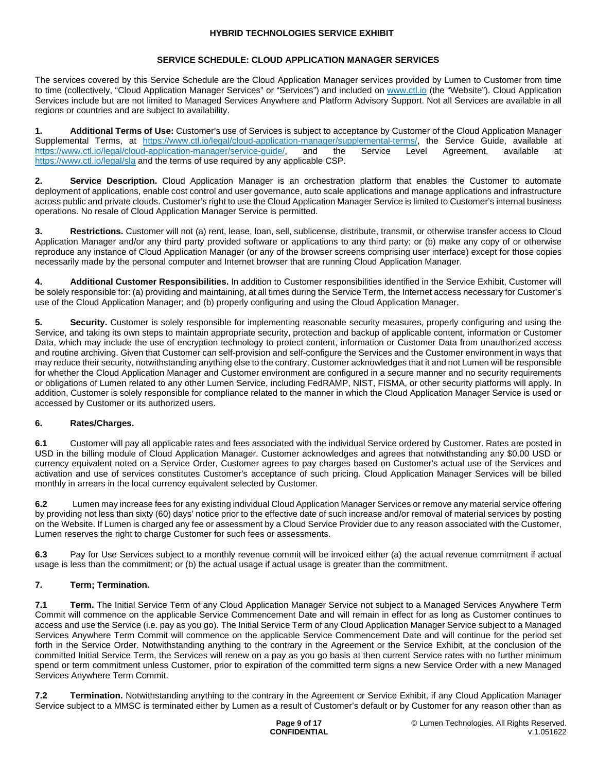# **SERVICE SCHEDULE: CLOUD APPLICATION MANAGER SERVICES**

The services covered by this Service Schedule are the Cloud Application Manager services provided by Lumen to Customer from time to time (collectively, "Cloud Application Manager Services" or "Services") and included on [www.ctl.io](http://www.ctl.io/) (the "Website"). Cloud Application Services include but are not limited to Managed Services Anywhere and Platform Advisory Support. Not all Services are available in all regions or countries and are subject to availability.

**1. Additional Terms of Use:** Customer's use of Services is subject to acceptance by Customer of the Cloud Application Manager Supplemental Terms, at <https://www.ctl.io/legal/cloud-application-manager/supplemental-terms/>, the Service Guide, available at https://www.ctl.io/legal/cloud-application-manager/service-quide/, and the Service Level Agreem <https://www.ctl.io/legal/cloud-application-manager/service-guide/>, and the Service Level Agreement, available at <https://www.ctl.io/legal/sla> and the terms of use required by any applicable CSP.

**2. Service Description.** Cloud Application Manager is an orchestration platform that enables the Customer to automate deployment of applications, enable cost control and user governance, auto scale applications and manage applications and infrastructure across public and private clouds. Customer's right to use the Cloud Application Manager Service is limited to Customer's internal business operations. No resale of Cloud Application Manager Service is permitted.

**3. Restrictions.** Customer will not (a) rent, lease, loan, sell, sublicense, distribute, transmit, or otherwise transfer access to Cloud Application Manager and/or any third party provided software or applications to any third party; or (b) make any copy of or otherwise reproduce any instance of Cloud Application Manager (or any of the browser screens comprising user interface) except for those copies necessarily made by the personal computer and Internet browser that are running Cloud Application Manager.

**4. Additional Customer Responsibilities.** In addition to Customer responsibilities identified in the Service Exhibit, Customer will be solely responsible for: (a) providing and maintaining, at all times during the Service Term, the Internet access necessary for Customer's use of the Cloud Application Manager; and (b) properly configuring and using the Cloud Application Manager.

**5.** Security. Customer is solely responsible for implementing reasonable security measures, properly configuring and using the Service, and taking its own steps to maintain appropriate security, protection and backup of applicable content, information or Customer Data, which may include the use of encryption technology to protect content, information or Customer Data from unauthorized access and routine archiving. Given that Customer can self-provision and self-configure the Services and the Customer environment in ways that may reduce their security, notwithstanding anything else to the contrary, Customer acknowledges that it and not Lumen will be responsible for whether the Cloud Application Manager and Customer environment are configured in a secure manner and no security requirements or obligations of Lumen related to any other Lumen Service, including FedRAMP, NIST, FISMA, or other security platforms will apply. In addition, Customer is solely responsible for compliance related to the manner in which the Cloud Application Manager Service is used or accessed by Customer or its authorized users.

# **6. Rates/Charges.**

**6.1** Customer will pay all applicable rates and fees associated with the individual Service ordered by Customer. Rates are posted in USD in the billing module of Cloud Application Manager. Customer acknowledges and agrees that notwithstanding any \$0.00 USD or currency equivalent noted on a Service Order, Customer agrees to pay charges based on Customer's actual use of the Services and activation and use of services constitutes Customer's acceptance of such pricing. Cloud Application Manager Services will be billed monthly in arrears in the local currency equivalent selected by Customer.

**6.2** Lumen may increase fees for any existing individual Cloud Application Manager Services or remove any material service offering by providing not less than sixty (60) days' notice prior to the effective date of such increase and/or removal of material services by posting on the Website. If Lumen is charged any fee or assessment by a Cloud Service Provider due to any reason associated with the Customer, Lumen reserves the right to charge Customer for such fees or assessments.

**6.3** Pay for Use Services subject to a monthly revenue commit will be invoiced either (a) the actual revenue commitment if actual usage is less than the commitment; or (b) the actual usage if actual usage is greater than the commitment.

# **7. Term; Termination.**

**7.1 Term.** The Initial Service Term of any Cloud Application Manager Service not subject to a Managed Services Anywhere Term Commit will commence on the applicable Service Commencement Date and will remain in effect for as long as Customer continues to access and use the Service (i.e. pay as you go). The Initial Service Term of any Cloud Application Manager Service subject to a Managed Services Anywhere Term Commit will commence on the applicable Service Commencement Date and will continue for the period set forth in the Service Order. Notwithstanding anything to the contrary in the Agreement or the Service Exhibit, at the conclusion of the committed Initial Service Term, the Services will renew on a pay as you go basis at then current Service rates with no further minimum spend or term commitment unless Customer, prior to expiration of the committed term signs a new Service Order with a new Managed Services Anywhere Term Commit.

**7.2 Termination.** Notwithstanding anything to the contrary in the Agreement or Service Exhibit, if any Cloud Application Manager Service subject to a MMSC is terminated either by Lumen as a result of Customer's default or by Customer for any reason other than as

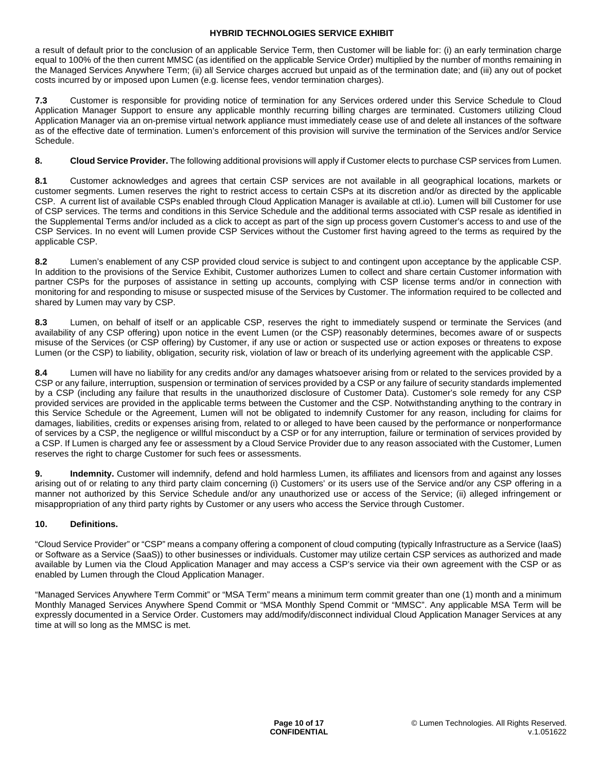a result of default prior to the conclusion of an applicable Service Term, then Customer will be liable for: (i) an early termination charge equal to 100% of the then current MMSC (as identified on the applicable Service Order) multiplied by the number of months remaining in the Managed Services Anywhere Term; (ii) all Service charges accrued but unpaid as of the termination date; and (iii) any out of pocket costs incurred by or imposed upon Lumen (e.g. license fees, vendor termination charges).

**7.3** Customer is responsible for providing notice of termination for any Services ordered under this Service Schedule to Cloud Application Manager Support to ensure any applicable monthly recurring billing charges are terminated. Customers utilizing Cloud Application Manager via an on-premise virtual network appliance must immediately cease use of and delete all instances of the software as of the effective date of termination. Lumen's enforcement of this provision will survive the termination of the Services and/or Service Schedule.

# **8. Cloud Service Provider.** The following additional provisions will apply if Customer elects to purchase CSP services from Lumen.

**8.1** Customer acknowledges and agrees that certain CSP services are not available in all geographical locations, markets or customer segments. Lumen reserves the right to restrict access to certain CSPs at its discretion and/or as directed by the applicable CSP. A current list of available CSPs enabled through Cloud Application Manager is available at ctl.io). Lumen will bill Customer for use of CSP services. The terms and conditions in this Service Schedule and the additional terms associated with CSP resale as identified in the Supplemental Terms and/or included as a click to accept as part of the sign up process govern Customer's access to and use of the CSP Services. In no event will Lumen provide CSP Services without the Customer first having agreed to the terms as required by the applicable CSP.

**8.2** Lumen's enablement of any CSP provided cloud service is subject to and contingent upon acceptance by the applicable CSP. In addition to the provisions of the Service Exhibit, Customer authorizes Lumen to collect and share certain Customer information with partner CSPs for the purposes of assistance in setting up accounts, complying with CSP license terms and/or in connection with monitoring for and responding to misuse or suspected misuse of the Services by Customer. The information required to be collected and shared by Lumen may vary by CSP.

**8.3** Lumen, on behalf of itself or an applicable CSP, reserves the right to immediately suspend or terminate the Services (and availability of any CSP offering) upon notice in the event Lumen (or the CSP) reasonably determines, becomes aware of or suspects misuse of the Services (or CSP offering) by Customer, if any use or action or suspected use or action exposes or threatens to expose Lumen (or the CSP) to liability, obligation, security risk, violation of law or breach of its underlying agreement with the applicable CSP.

**8.4** Lumen will have no liability for any credits and/or any damages whatsoever arising from or related to the services provided by a CSP or any failure, interruption, suspension or termination of services provided by a CSP or any failure of security standards implemented by a CSP (including any failure that results in the unauthorized disclosure of Customer Data). Customer's sole remedy for any CSP provided services are provided in the applicable terms between the Customer and the CSP. Notwithstanding anything to the contrary in this Service Schedule or the Agreement, Lumen will not be obligated to indemnify Customer for any reason, including for claims for damages, liabilities, credits or expenses arising from, related to or alleged to have been caused by the performance or nonperformance of services by a CSP, the negligence or willful misconduct by a CSP or for any interruption, failure or termination of services provided by a CSP. If Lumen is charged any fee or assessment by a Cloud Service Provider due to any reason associated with the Customer, Lumen reserves the right to charge Customer for such fees or assessments.

**9.** Indemnity. Customer will indemnify, defend and hold harmless Lumen, its affiliates and licensors from and against any losses arising out of or relating to any third party claim concerning (i) Customers' or its users use of the Service and/or any CSP offering in a manner not authorized by this Service Schedule and/or any unauthorized use or access of the Service; (ii) alleged infringement or misappropriation of any third party rights by Customer or any users who access the Service through Customer.

# **10. Definitions.**

"Cloud Service Provider" or "CSP" means a company offering a component of cloud computing (typically Infrastructure as a Service (IaaS) or Software as a Service (SaaS)) to other businesses or individuals. Customer may utilize certain CSP services as authorized and made available by Lumen via the Cloud Application Manager and may access a CSP's service via their own agreement with the CSP or as enabled by Lumen through the Cloud Application Manager.

"Managed Services Anywhere Term Commit" or "MSA Term" means a minimum term commit greater than one (1) month and a minimum Monthly Managed Services Anywhere Spend Commit or "MSA Monthly Spend Commit or "MMSC". Any applicable MSA Term will be expressly documented in a Service Order. Customers may add/modify/disconnect individual Cloud Application Manager Services at any time at will so long as the MMSC is met.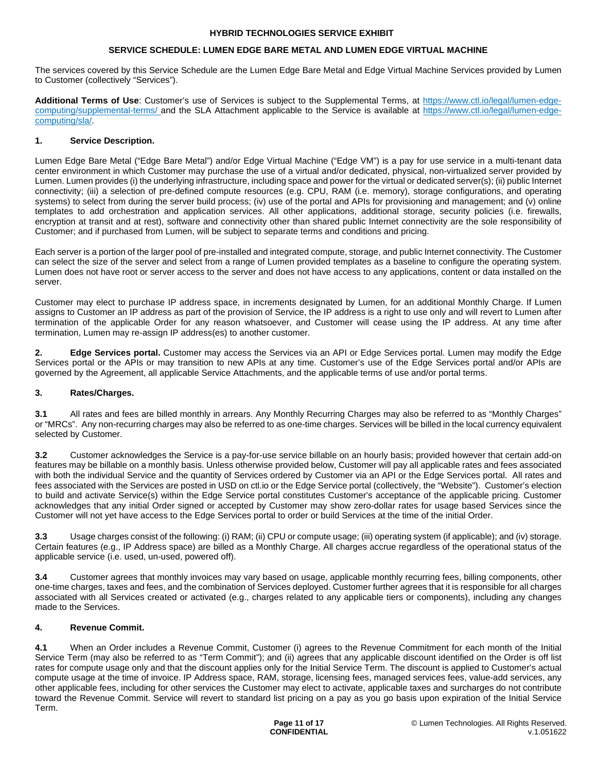### **SERVICE SCHEDULE: LUMEN EDGE BARE METAL AND LUMEN EDGE VIRTUAL MACHINE**

The services covered by this Service Schedule are the Lumen Edge Bare Metal and Edge Virtual Machine Services provided by Lumen to Customer (collectively "Services").

**Additional Terms of Use**: Customer's use of Services is subject to the Supplemental Terms, at [https://www.ctl.io/legal/lumen-edge](https://www.ctl.io/legal/lumen-edge-computing/supplemental-terms/)computing/supplemental-terms/ [and the SLA Attachment applicable to the Service is available at](https://www.ctl.io/legal/lumen-edge-computing/supplemental-terms/) [https://www.ctl.io/legal/lumen-edge](https://www.ctl.io/legal/lumen-edge-computing/sla/)[computing/sla/.](https://www.ctl.io/legal/lumen-edge-computing/sla/) 

### **1. Service Description.**

Lumen Edge Bare Metal ("Edge Bare Metal") and/or Edge Virtual Machine ("Edge VM") is a pay for use service in a multi-tenant data center environment in which Customer may purchase the use of a virtual and/or dedicated, physical, non-virtualized server provided by Lumen. Lumen provides (i) the underlying infrastructure, including space and power for the virtual or dedicated server(s); (ii) public Internet connectivity; (iii) a selection of pre-defined compute resources (e.g. CPU, RAM (i.e. memory), storage configurations, and operating systems) to select from during the server build process; (iv) use of the portal and APIs for provisioning and management; and (v) online templates to add orchestration and application services. All other applications, additional storage, security policies (i.e. firewalls, encryption at transit and at rest), software and connectivity other than shared public Internet connectivity are the sole responsibility of Customer; and if purchased from Lumen, will be subject to separate terms and conditions and pricing.

Each server is a portion of the larger pool of pre-installed and integrated compute, storage, and public Internet connectivity. The Customer can select the size of the server and select from a range of Lumen provided templates as a baseline to configure the operating system. Lumen does not have root or server access to the server and does not have access to any applications, content or data installed on the server.

Customer may elect to purchase IP address space, in increments designated by Lumen, for an additional Monthly Charge. If Lumen assigns to Customer an IP address as part of the provision of Service, the IP address is a right to use only and will revert to Lumen after termination of the applicable Order for any reason whatsoever, and Customer will cease using the IP address. At any time after termination, Lumen may re-assign IP address(es) to another customer.

**2. Edge Services portal.** Customer may access the Services via an API or Edge Services portal. Lumen may modify the Edge Services portal or the APIs or may transition to new APIs at any time. Customer's use of the Edge Services portal and/or APIs are governed by the Agreement, all applicable Service Attachments, and the applicable terms of use and/or portal terms.

# **3. Rates/Charges.**

**3.1** All rates and fees are billed monthly in arrears. Any Monthly Recurring Charges may also be referred to as "Monthly Charges" or "MRCs". Any non-recurring charges may also be referred to as one-time charges. Services will be billed in the local currency equivalent selected by Customer.

**3.2** Customer acknowledges the Service is a pay-for-use service billable on an hourly basis; provided however that certain add-on features may be billable on a monthly basis. Unless otherwise provided below, Customer will pay all applicable rates and fees associated with both the individual Service and the quantity of Services ordered by Customer via an API or the Edge Services portal. All rates and fees associated with the Services are posted in USD on ctl.io or the Edge Service portal (collectively, the "Website"). Customer's election to build and activate Service(s) within the Edge Service portal constitutes Customer's acceptance of the applicable pricing. Customer acknowledges that any initial Order signed or accepted by Customer may show zero-dollar rates for usage based Services since the Customer will not yet have access to the Edge Services portal to order or build Services at the time of the initial Order.

**3.3** Usage charges consist of the following: (i) RAM; (ii) CPU or compute usage; (iii) operating system (if applicable); and (iv) storage. Certain features (e.g., IP Address space) are billed as a Monthly Charge. All charges accrue regardless of the operational status of the applicable service (i.e. used, un-used, powered off).

**3.4** Customer agrees that monthly invoices may vary based on usage, applicable monthly recurring fees, billing components, other one-time charges, taxes and fees, and the combination of Services deployed. Customer further agrees that it is responsible for all charges associated with all Services created or activated (e.g., charges related to any applicable tiers or components), including any changes made to the Services.

# **4. Revenue Commit.**

**4.1** When an Order includes a Revenue Commit, Customer (i) agrees to the Revenue Commitment for each month of the Initial Service Term (may also be referred to as "Term Commit"); and (ii) agrees that any applicable discount identified on the Order is off list rates for compute usage only and that the discount applies only for the Initial Service Term. The discount is applied to Customer's actual compute usage at the time of invoice. IP Address space, RAM, storage, licensing fees, managed services fees, value-add services, any other applicable fees, including for other services the Customer may elect to activate, applicable taxes and surcharges do not contribute toward the Revenue Commit. Service will revert to standard list pricing on a pay as you go basis upon expiration of the Initial Service Term.

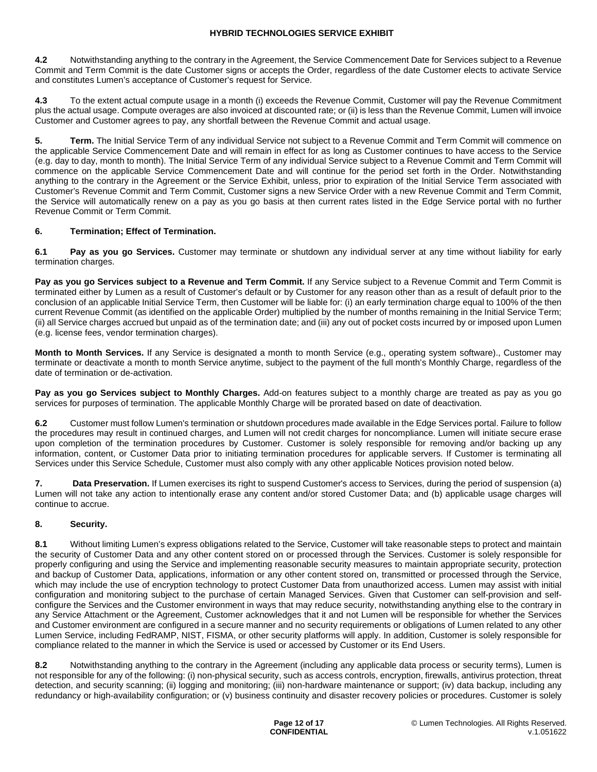**4.2** Notwithstanding anything to the contrary in the Agreement, the Service Commencement Date for Services subject to a Revenue Commit and Term Commit is the date Customer signs or accepts the Order, regardless of the date Customer elects to activate Service and constitutes Lumen's acceptance of Customer's request for Service.

**4.3** To the extent actual compute usage in a month (i) exceeds the Revenue Commit, Customer will pay the Revenue Commitment plus the actual usage. Compute overages are also invoiced at discounted rate; or (ii) is less than the Revenue Commit, Lumen will invoice Customer and Customer agrees to pay, any shortfall between the Revenue Commit and actual usage.

**5. Term.** The Initial Service Term of any individual Service not subject to a Revenue Commit and Term Commit will commence on the applicable Service Commencement Date and will remain in effect for as long as Customer continues to have access to the Service (e.g. day to day, month to month). The Initial Service Term of any individual Service subject to a Revenue Commit and Term Commit will commence on the applicable Service Commencement Date and will continue for the period set forth in the Order. Notwithstanding anything to the contrary in the Agreement or the Service Exhibit, unless, prior to expiration of the Initial Service Term associated with Customer's Revenue Commit and Term Commit, Customer signs a new Service Order with a new Revenue Commit and Term Commit, the Service will automatically renew on a pay as you go basis at then current rates listed in the Edge Service portal with no further Revenue Commit or Term Commit.

# **6. Termination; Effect of Termination.**

**6.1 Pay as you go Services.** Customer may terminate or shutdown any individual server at any time without liability for early termination charges.

**Pay as you go Services subject to a Revenue and Term Commit.** If any Service subject to a Revenue Commit and Term Commit is terminated either by Lumen as a result of Customer's default or by Customer for any reason other than as a result of default prior to the conclusion of an applicable Initial Service Term, then Customer will be liable for: (i) an early termination charge equal to 100% of the then current Revenue Commit (as identified on the applicable Order) multiplied by the number of months remaining in the Initial Service Term; (ii) all Service charges accrued but unpaid as of the termination date; and (iii) any out of pocket costs incurred by or imposed upon Lumen (e.g. license fees, vendor termination charges).

**Month to Month Services.** If any Service is designated a month to month Service (e.g., operating system software)., Customer may terminate or deactivate a month to month Service anytime, subject to the payment of the full month's Monthly Charge, regardless of the date of termination or de-activation.

**Pay as you go Services subject to Monthly Charges.** Add-on features subject to a monthly charge are treated as pay as you go services for purposes of termination. The applicable Monthly Charge will be prorated based on date of deactivation.

**6.2** Customer must follow Lumen's termination or shutdown procedures made available in the Edge Services portal. Failure to follow the procedures may result in continued charges, and Lumen will not credit charges for noncompliance. Lumen will initiate secure erase upon completion of the termination procedures by Customer. Customer is solely responsible for removing and/or backing up any information, content, or Customer Data prior to initiating termination procedures for applicable servers. If Customer is terminating all Services under this Service Schedule, Customer must also comply with any other applicable Notices provision noted below.

**7.** Data Preservation. If Lumen exercises its right to suspend Customer's access to Services, during the period of suspension (a) Lumen will not take any action to intentionally erase any content and/or stored Customer Data; and (b) applicable usage charges will continue to accrue.

# **8. Security.**

**8.1** Without limiting Lumen's express obligations related to the Service, Customer will take reasonable steps to protect and maintain the security of Customer Data and any other content stored on or processed through the Services. Customer is solely responsible for properly configuring and using the Service and implementing reasonable security measures to maintain appropriate security, protection and backup of Customer Data, applications, information or any other content stored on, transmitted or processed through the Service, which may include the use of encryption technology to protect Customer Data from unauthorized access. Lumen may assist with initial configuration and monitoring subject to the purchase of certain Managed Services. Given that Customer can self-provision and selfconfigure the Services and the Customer environment in ways that may reduce security, notwithstanding anything else to the contrary in any Service Attachment or the Agreement, Customer acknowledges that it and not Lumen will be responsible for whether the Services and Customer environment are configured in a secure manner and no security requirements or obligations of Lumen related to any other Lumen Service, including FedRAMP, NIST, FISMA, or other security platforms will apply. In addition, Customer is solely responsible for compliance related to the manner in which the Service is used or accessed by Customer or its End Users.

**8.2** Notwithstanding anything to the contrary in the Agreement (including any applicable data process or security terms), Lumen is not responsible for any of the following: (i) non-physical security, such as access controls, encryption, firewalls, antivirus protection, threat detection, and security scanning; (ii) logging and monitoring; (iii) non-hardware maintenance or support; (iv) data backup, including any redundancy or high-availability configuration; or (v) business continuity and disaster recovery policies or procedures. Customer is solely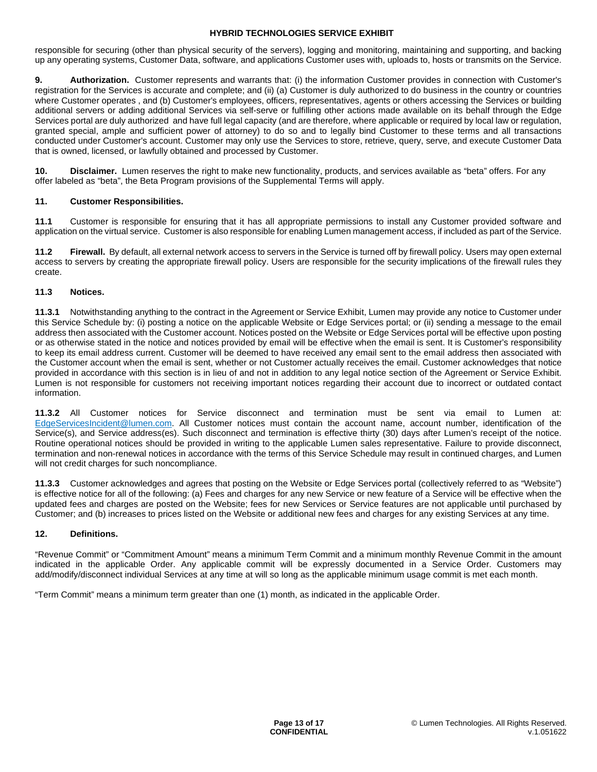responsible for securing (other than physical security of the servers), logging and monitoring, maintaining and supporting, and backing up any operating systems, Customer Data, software, and applications Customer uses with, uploads to, hosts or transmits on the Service.

**9. Authorization.** Customer represents and warrants that: (i) the information Customer provides in connection with Customer's registration for the Services is accurate and complete; and (ii) (a) Customer is duly authorized to do business in the country or countries where Customer operates , and (b) Customer's employees, officers, representatives, agents or others accessing the Services or building additional servers or adding additional Services via self-serve or fulfilling other actions made available on its behalf through the Edge Services portal are duly authorized and have full legal capacity (and are therefore, where applicable or required by local law or regulation, granted special, ample and sufficient power of attorney) to do so and to legally bind Customer to these terms and all transactions conducted under Customer's account. Customer may only use the Services to store, retrieve, query, serve, and execute Customer Data that is owned, licensed, or lawfully obtained and processed by Customer.

**10. Disclaimer.** Lumen reserves the right to make new functionality, products, and services available as "beta" offers. For any offer labeled as "beta", the Beta Program provisions of the Supplemental Terms will apply.

# **11. Customer Responsibilities.**

**11.1** Customer is responsible for ensuring that it has all appropriate permissions to install any Customer provided software and application on the virtual service. Customer is also responsible for enabling Lumen management access, if included as part of the Service.

**11.2 Firewall.** By default, all external network access to servers in the Service is turned off by firewall policy. Users may open external access to servers by creating the appropriate firewall policy. Users are responsible for the security implications of the firewall rules they create.

### **11.3 Notices.**

**11.3.1** Notwithstanding anything to the contract in the Agreement or Service Exhibit, Lumen may provide any notice to Customer under this Service Schedule by: (i) posting a notice on the applicable Website or Edge Services portal; or (ii) sending a message to the email address then associated with the Customer account. Notices posted on the Website or Edge Services portal will be effective upon posting or as otherwise stated in the notice and notices provided by email will be effective when the email is sent. It is Customer's responsibility to keep its email address current. Customer will be deemed to have received any email sent to the email address then associated with the Customer account when the email is sent, whether or not Customer actually receives the email. Customer acknowledges that notice provided in accordance with this section is in lieu of and not in addition to any legal notice section of the Agreement or Service Exhibit. Lumen is not responsible for customers not receiving important notices regarding their account due to incorrect or outdated contact information.

**11.3.2** All Customer notices for Service disconnect and termination must be sent via email to Lumen at: [EdgeServicesIncident@lumen.com](https://centurylink-my.sharepoint.com/personal/teresa_letteri_lumen_com/Documents/Documents/HybridTechnologies(wasCTSServices)/HyTechServiceExhibit/EdgeServicesIncident@lumen.com). All Customer notices must contain the account name, account number, identification of the Service(s), and Service address(es). Such disconnect and termination is effective thirty (30) days after Lumen's receipt of the notice. Routine operational notices should be provided in writing to the applicable Lumen sales representative. Failure to provide disconnect, termination and non-renewal notices in accordance with the terms of this Service Schedule may result in continued charges, and Lumen will not credit charges for such noncompliance.

**11.3.3** Customer acknowledges and agrees that posting on the Website or Edge Services portal (collectively referred to as "Website") is effective notice for all of the following: (a) Fees and charges for any new Service or new feature of a Service will be effective when the updated fees and charges are posted on the Website; fees for new Services or Service features are not applicable until purchased by Customer; and (b) increases to prices listed on the Website or additional new fees and charges for any existing Services at any time.

#### **12. Definitions.**

"Revenue Commit" or "Commitment Amount" means a minimum Term Commit and a minimum monthly Revenue Commit in the amount indicated in the applicable Order. Any applicable commit will be expressly documented in a Service Order. Customers may add/modify/disconnect individual Services at any time at will so long as the applicable minimum usage commit is met each month.

"Term Commit" means a minimum term greater than one (1) month, as indicated in the applicable Order.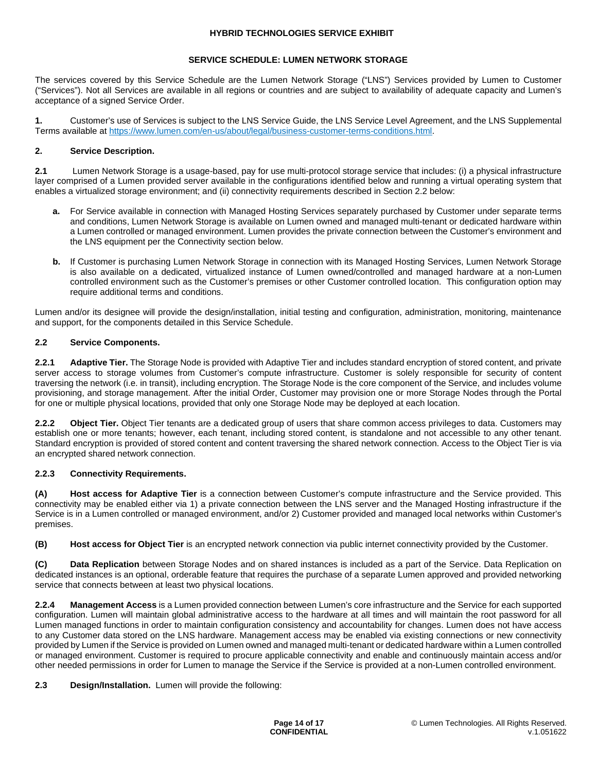### **SERVICE SCHEDULE: LUMEN NETWORK STORAGE**

The services covered by this Service Schedule are the Lumen Network Storage ("LNS") Services provided by Lumen to Customer ("Services"). Not all Services are available in all regions or countries and are subject to availability of adequate capacity and Lumen's acceptance of a signed Service Order.

**1.** Customer's use of Services is subject to the LNS Service Guide, the LNS Service Level Agreement, and the LNS Supplemental Terms available at<https://www.lumen.com/en-us/about/legal/business-customer-terms-conditions.html>.

### **2. Service Description.**

**2.1** Lumen Network Storage is a usage-based, pay for use multi-protocol storage service that includes: (i) a physical infrastructure layer comprised of a Lumen provided server available in the configurations identified below and running a virtual operating system that enables a virtualized storage environment; and (ii) connectivity requirements described in Section 2.2 below:

- **a.** For Service available in connection with Managed Hosting Services separately purchased by Customer under separate terms and conditions, Lumen Network Storage is available on Lumen owned and managed multi-tenant or dedicated hardware within a Lumen controlled or managed environment. Lumen provides the private connection between the Customer's environment and the LNS equipment per the Connectivity section below.
- **b.** If Customer is purchasing Lumen Network Storage in connection with its Managed Hosting Services, Lumen Network Storage is also available on a dedicated, virtualized instance of Lumen owned/controlled and managed hardware at a non-Lumen controlled environment such as the Customer's premises or other Customer controlled location. This configuration option may require additional terms and conditions.

Lumen and/or its designee will provide the design/installation, initial testing and configuration, administration, monitoring, maintenance and support, for the components detailed in this Service Schedule.

### **2.2 Service Components.**

**2.2.1 Adaptive Tier.** The Storage Node is provided with Adaptive Tier and includes standard encryption of stored content, and private server access to storage volumes from Customer's compute infrastructure. Customer is solely responsible for security of content traversing the network (i.e. in transit), including encryption. The Storage Node is the core component of the Service, and includes volume provisioning, and storage management. After the initial Order, Customer may provision one or more Storage Nodes through the Portal for one or multiple physical locations, provided that only one Storage Node may be deployed at each location.

**2.2.2 Object Tier.** Object Tier tenants are a dedicated group of users that share common access privileges to data. Customers may establish one or more tenants; however, each tenant, including stored content, is standalone and not accessible to any other tenant. Standard encryption is provided of stored content and content traversing the shared network connection. Access to the Object Tier is via an encrypted shared network connection.

# **2.2.3 Connectivity Requirements.**

**(A) Host access for Adaptive Tier** is a connection between Customer's compute infrastructure and the Service provided. This connectivity may be enabled either via 1) a private connection between the LNS server and the Managed Hosting infrastructure if the Service is in a Lumen controlled or managed environment, and/or 2) Customer provided and managed local networks within Customer's premises.

**(B) Host access for Object Tier** is an encrypted network connection via public internet connectivity provided by the Customer.

**(C) Data Replication** between Storage Nodes and on shared instances is included as a part of the Service. Data Replication on dedicated instances is an optional, orderable feature that requires the purchase of a separate Lumen approved and provided networking service that connects between at least two physical locations.

**2.2.4 Management Access** is a Lumen provided connection between Lumen's core infrastructure and the Service for each supported configuration. Lumen will maintain global administrative access to the hardware at all times and will maintain the root password for all Lumen managed functions in order to maintain configuration consistency and accountability for changes. Lumen does not have access to any Customer data stored on the LNS hardware. Management access may be enabled via existing connections or new connectivity provided by Lumen if the Service is provided on Lumen owned and managed multi-tenant or dedicated hardware within a Lumen controlled or managed environment. Customer is required to procure applicable connectivity and enable and continuously maintain access and/or other needed permissions in order for Lumen to manage the Service if the Service is provided at a non-Lumen controlled environment.

# **2.3 Design/Installation.** Lumen will provide the following: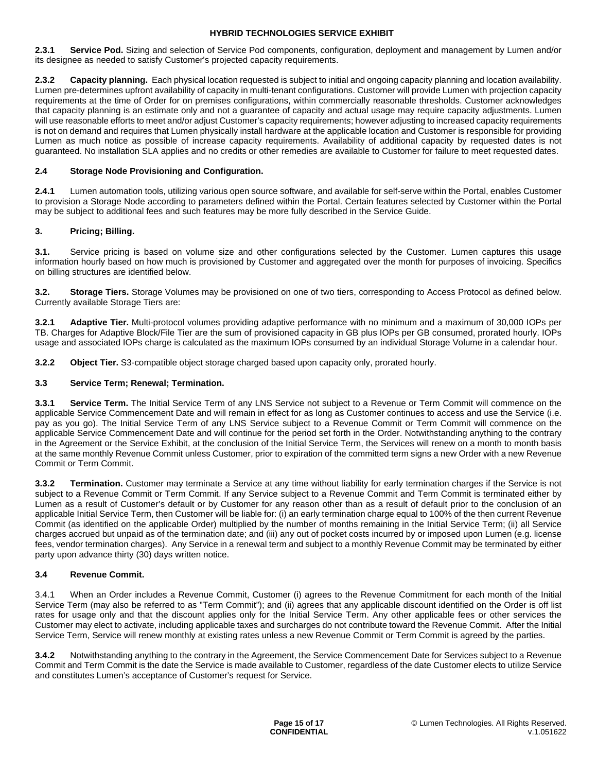**2.3.1 Service Pod.** Sizing and selection of Service Pod components, configuration, deployment and management by Lumen and/or its designee as needed to satisfy Customer's projected capacity requirements.

**2.3.2 Capacity planning.** Each physical location requested is subject to initial and ongoing capacity planning and location availability. Lumen pre-determines upfront availability of capacity in multi-tenant configurations. Customer will provide Lumen with projection capacity requirements at the time of Order for on premises configurations, within commercially reasonable thresholds. Customer acknowledges that capacity planning is an estimate only and not a guarantee of capacity and actual usage may require capacity adjustments. Lumen will use reasonable efforts to meet and/or adjust Customer's capacity requirements; however adjusting to increased capacity requirements is not on demand and requires that Lumen physically install hardware at the applicable location and Customer is responsible for providing Lumen as much notice as possible of increase capacity requirements. Availability of additional capacity by requested dates is not guaranteed. No installation SLA applies and no credits or other remedies are available to Customer for failure to meet requested dates.

# **2.4 Storage Node Provisioning and Configuration.**

**2.4.1** Lumen automation tools, utilizing various open source software, and available for self-serve within the Portal, enables Customer to provision a Storage Node according to parameters defined within the Portal. Certain features selected by Customer within the Portal may be subject to additional fees and such features may be more fully described in the Service Guide.

### **3. Pricing; Billing.**

**3.1.** Service pricing is based on volume size and other configurations selected by the Customer. Lumen captures this usage information hourly based on how much is provisioned by Customer and aggregated over the month for purposes of invoicing. Specifics on billing structures are identified below.

**3.2. Storage Tiers.** Storage Volumes may be provisioned on one of two tiers, corresponding to Access Protocol as defined below. Currently available Storage Tiers are:

**3.2.1 Adaptive Tier.** Multi-protocol volumes providing adaptive performance with no minimum and a maximum of 30,000 IOPs per TB. Charges for Adaptive Block/File Tier are the sum of provisioned capacity in GB plus IOPs per GB consumed, prorated hourly. IOPs usage and associated IOPs charge is calculated as the maximum IOPs consumed by an individual Storage Volume in a calendar hour.

**3.2.2 Object Tier.** S3-compatible object storage charged based upon capacity only, prorated hourly.

### **3.3 Service Term; Renewal; Termination.**

**3.3.1 Service Term.** The Initial Service Term of any LNS Service not subject to a Revenue or Term Commit will commence on the applicable Service Commencement Date and will remain in effect for as long as Customer continues to access and use the Service (i.e. pay as you go). The Initial Service Term of any LNS Service subject to a Revenue Commit or Term Commit will commence on the applicable Service Commencement Date and will continue for the period set forth in the Order. Notwithstanding anything to the contrary in the Agreement or the Service Exhibit, at the conclusion of the Initial Service Term, the Services will renew on a month to month basis at the same monthly Revenue Commit unless Customer, prior to expiration of the committed term signs a new Order with a new Revenue Commit or Term Commit.

**3.3.2 Termination.** Customer may terminate a Service at any time without liability for early termination charges if the Service is not subject to a Revenue Commit or Term Commit. If any Service subject to a Revenue Commit and Term Commit is terminated either by Lumen as a result of Customer's default or by Customer for any reason other than as a result of default prior to the conclusion of an applicable Initial Service Term, then Customer will be liable for: (i) an early termination charge equal to 100% of the then current Revenue Commit (as identified on the applicable Order) multiplied by the number of months remaining in the Initial Service Term; (ii) all Service charges accrued but unpaid as of the termination date; and (iii) any out of pocket costs incurred by or imposed upon Lumen (e.g. license fees, vendor termination charges). Any Service in a renewal term and subject to a monthly Revenue Commit may be terminated by either party upon advance thirty (30) days written notice.

### **3.4 Revenue Commit.**

3.4.1 When an Order includes a Revenue Commit, Customer (i) agrees to the Revenue Commitment for each month of the Initial Service Term (may also be referred to as "Term Commit"); and (ii) agrees that any applicable discount identified on the Order is off list rates for usage only and that the discount applies only for the Initial Service Term. Any other applicable fees or other services the Customer may elect to activate, including applicable taxes and surcharges do not contribute toward the Revenue Commit. After the Initial Service Term, Service will renew monthly at existing rates unless a new Revenue Commit or Term Commit is agreed by the parties.

**3.4.2** Notwithstanding anything to the contrary in the Agreement, the Service Commencement Date for Services subject to a Revenue Commit and Term Commit is the date the Service is made available to Customer, regardless of the date Customer elects to utilize Service and constitutes Lumen's acceptance of Customer's request for Service.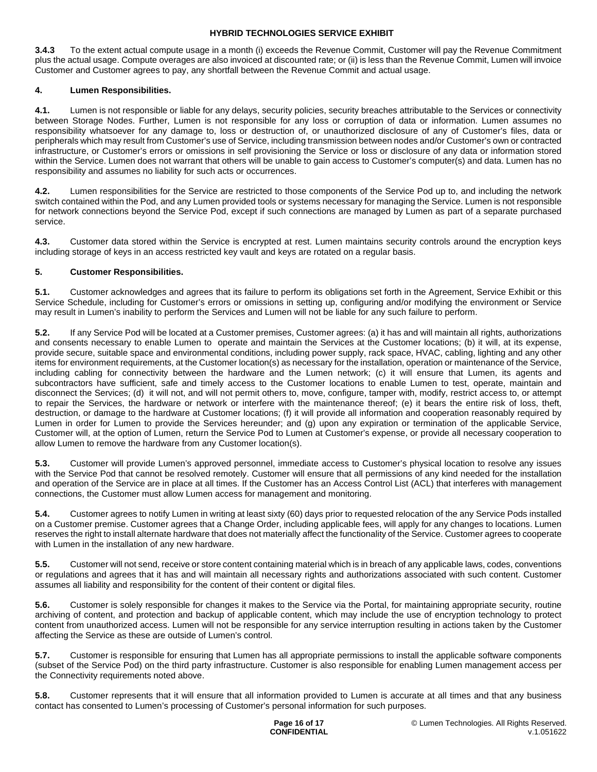**3.4.3** To the extent actual compute usage in a month (i) exceeds the Revenue Commit, Customer will pay the Revenue Commitment plus the actual usage. Compute overages are also invoiced at discounted rate; or (ii) is less than the Revenue Commit, Lumen will invoice Customer and Customer agrees to pay, any shortfall between the Revenue Commit and actual usage.

# **4. Lumen Responsibilities.**

**4.1.** Lumen is not responsible or liable for any delays, security policies, security breaches attributable to the Services or connectivity between Storage Nodes. Further, Lumen is not responsible for any loss or corruption of data or information. Lumen assumes no responsibility whatsoever for any damage to, loss or destruction of, or unauthorized disclosure of any of Customer's files, data or peripherals which may result from Customer's use of Service, including transmission between nodes and/or Customer's own or contracted infrastructure, or Customer's errors or omissions in self provisioning the Service or loss or disclosure of any data or information stored within the Service. Lumen does not warrant that others will be unable to gain access to Customer's computer(s) and data. Lumen has no responsibility and assumes no liability for such acts or occurrences.

**4.2.** Lumen responsibilities for the Service are restricted to those components of the Service Pod up to, and including the network switch contained within the Pod, and any Lumen provided tools or systems necessary for managing the Service. Lumen is not responsible for network connections beyond the Service Pod, except if such connections are managed by Lumen as part of a separate purchased service.

**4.3.** Customer data stored within the Service is encrypted at rest. Lumen maintains security controls around the encryption keys including storage of keys in an access restricted key vault and keys are rotated on a regular basis.

### **5. Customer Responsibilities.**

**5.1.** Customer acknowledges and agrees that its failure to perform its obligations set forth in the Agreement, Service Exhibit or this Service Schedule, including for Customer's errors or omissions in setting up, configuring and/or modifying the environment or Service may result in Lumen's inability to perform the Services and Lumen will not be liable for any such failure to perform.

**5.2.** If any Service Pod will be located at a Customer premises, Customer agrees: (a) it has and will maintain all rights, authorizations and consents necessary to enable Lumen to operate and maintain the Services at the Customer locations; (b) it will, at its expense, provide secure, suitable space and environmental conditions, including power supply, rack space, HVAC, cabling, lighting and any other items for environment requirements, at the Customer location(s) as necessary for the installation, operation or maintenance of the Service, including cabling for connectivity between the hardware and the Lumen network; (c) it will ensure that Lumen, its agents and subcontractors have sufficient, safe and timely access to the Customer locations to enable Lumen to test, operate, maintain and disconnect the Services; (d) it will not, and will not permit others to, move, configure, tamper with, modify, restrict access to, or attempt to repair the Services, the hardware or network or interfere with the maintenance thereof; (e) it bears the entire risk of loss, theft, destruction, or damage to the hardware at Customer locations; (f) it will provide all information and cooperation reasonably required by Lumen in order for Lumen to provide the Services hereunder; and (g) upon any expiration or termination of the applicable Service, Customer will, at the option of Lumen, return the Service Pod to Lumen at Customer's expense, or provide all necessary cooperation to allow Lumen to remove the hardware from any Customer location(s).

**5.3.** Customer will provide Lumen's approved personnel, immediate access to Customer's physical location to resolve any issues with the Service Pod that cannot be resolved remotely. Customer will ensure that all permissions of any kind needed for the installation and operation of the Service are in place at all times. If the Customer has an Access Control List (ACL) that interferes with management connections, the Customer must allow Lumen access for management and monitoring.

**5.4.** Customer agrees to notify Lumen in writing at least sixty (60) days prior to requested relocation of the any Service Pods installed on a Customer premise. Customer agrees that a Change Order, including applicable fees, will apply for any changes to locations. Lumen reserves the right to install alternate hardware that does not materially affect the functionality of the Service. Customer agrees to cooperate with Lumen in the installation of any new hardware.

**5.5.** Customer will not send, receive or store content containing material which is in breach of any applicable laws, codes, conventions or regulations and agrees that it has and will maintain all necessary rights and authorizations associated with such content. Customer assumes all liability and responsibility for the content of their content or digital files.

**5.6.** Customer is solely responsible for changes it makes to the Service via the Portal, for maintaining appropriate security, routine archiving of content, and protection and backup of applicable content, which may include the use of encryption technology to protect content from unauthorized access. Lumen will not be responsible for any service interruption resulting in actions taken by the Customer affecting the Service as these are outside of Lumen's control.

**5.7.** Customer is responsible for ensuring that Lumen has all appropriate permissions to install the applicable software components (subset of the Service Pod) on the third party infrastructure. Customer is also responsible for enabling Lumen management access per the Connectivity requirements noted above.

**5.8.** Customer represents that it will ensure that all information provided to Lumen is accurate at all times and that any business contact has consented to Lumen's processing of Customer's personal information for such purposes.